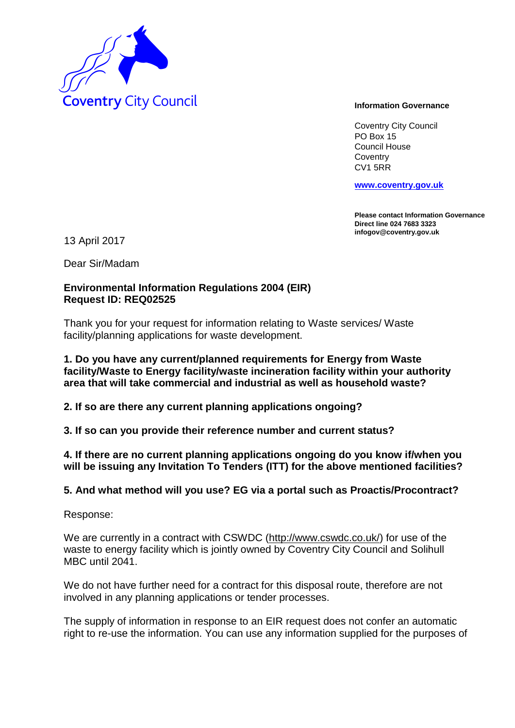

Coventry City Council PO Box 15 Council House **Coventry** CV1 5RR

**www.coventry.gov.uk**

**Please contact Information Governance Direct line 024 7683 3323 infogov@coventry.gov.uk** 

13 April 2017

Dear Sir/Madam

# **Environmental Information Regulations 2004 (EIR) Request ID: REQ02525**

Thank you for your request for information relating to Waste services/ Waste facility/planning applications for waste development.

### **1. Do you have any current/planned requirements for Energy from Waste facility/Waste to Energy facility/waste incineration facility within your authority area that will take commercial and industrial as well as household waste?**

**2. If so are there any current planning applications ongoing?**

**3. If so can you provide their reference number and current status?**

**4. If there are no current planning applications ongoing do you know if/when you will be issuing any Invitation To Tenders (ITT) for the above mentioned facilities?**

## **5. And what method will you use? EG via a portal such as Proactis/Procontract?**

Response:

We are currently in a contract with CSWDC (http://www.cswdc.co.uk/) for use of the waste to energy facility which is jointly owned by Coventry City Council and Solihull MBC until 2041.

We do not have further need for a contract for this disposal route, therefore are not involved in any planning applications or tender processes.

The supply of information in response to an EIR request does not confer an automatic right to re-use the information. You can use any information supplied for the purposes of